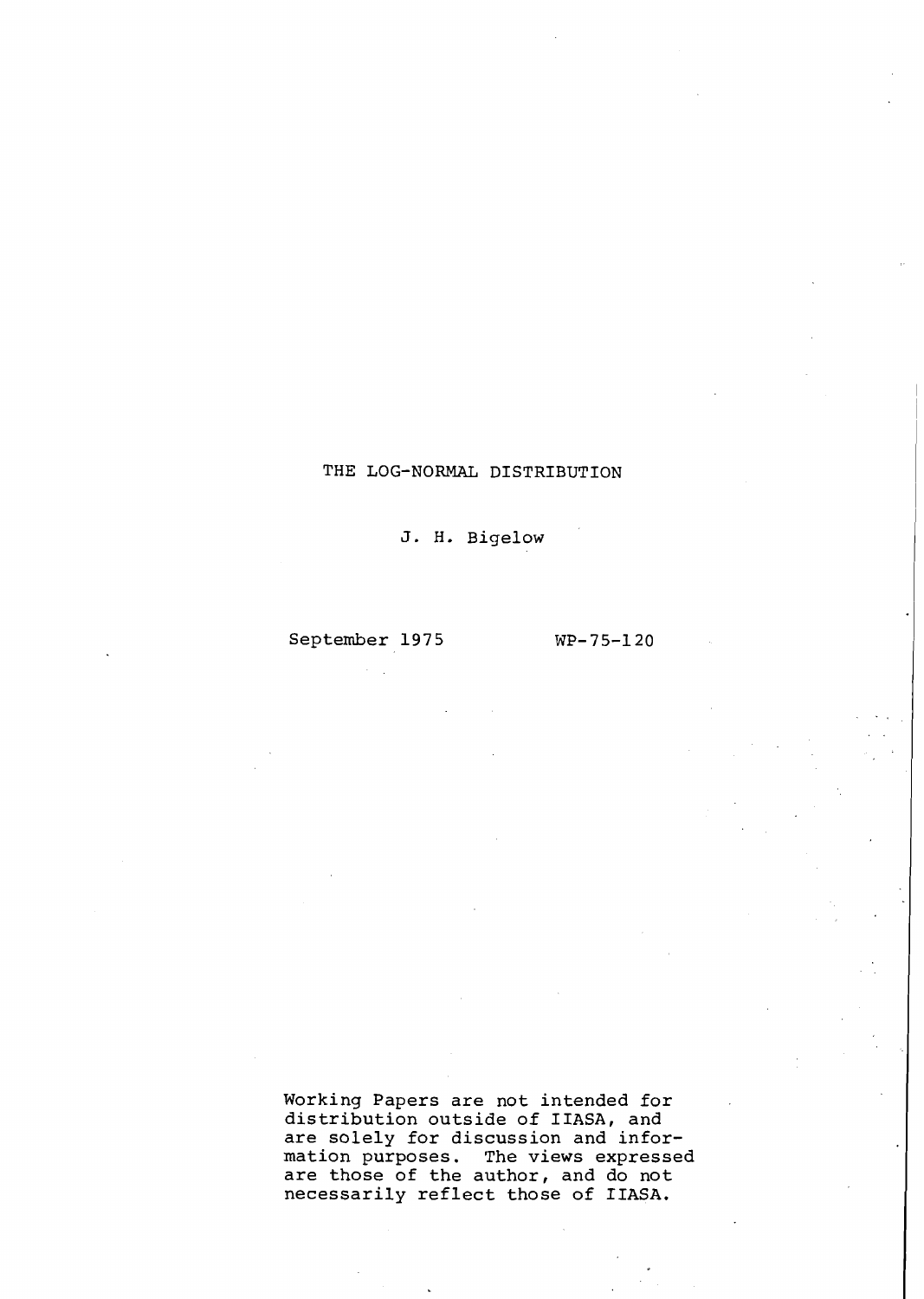# THE LOG-NORMAL DISTRIBUTION

J. H. Bigelow

September 1975 WP-75-120

Working Papers are not intended for distribution outside of IIASA, and are solely for discussion and information purposes. The views expressed are those of the author, and do not necessarily reflect those of IIASA.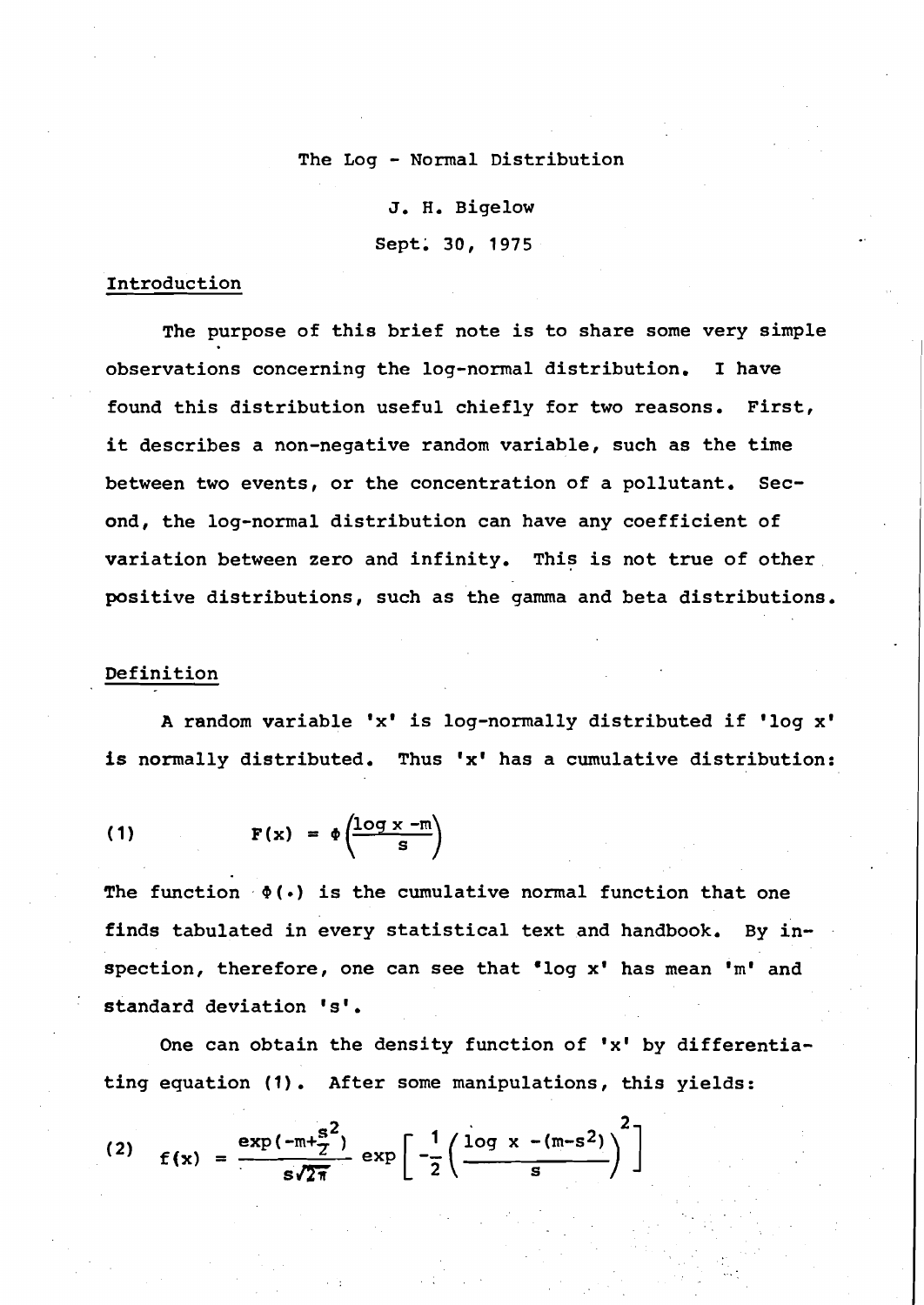## **The Log** - **Normal Distribution**

**J. H. Bigelow Sept; 30, 1975** 

# **Introduction**

**The purpose of this brief note is to share some very simple observations concerning the log-normal distribution. I have found this distribution useful chiefly for two reasons. First, it describes a non-negative random variable, such as the time between two events, or the concentration of a pollutant. Second, the log-normal distribution can have any coefficient of variation between zero and infinity. This is not true of other positive distributions, such as 'the gamma and beta distributions.** 

### **Definition**

**A random variable 'x' is log-normally distributed if 'log x'**  is normally distributed. Thus 'x' has a cumulative distribution:

(1) 
$$
F(x) = \phi \left( \frac{\log x - m}{s} \right)
$$

The function  $\phi(\cdot)$  is the cumulative normal function that one **finds tabulated in every statistical text and handbook. By inspection, therefore, one can see that 'log x' has mean 'm' and**  ' **standard deviation 's'.** 

One can obtain the density function of 'x' by differentia**ting equation (1). After some manipulations, this yields:** 

(2) 
$$
f(x) = \frac{\exp(-m + \frac{s^2}{2})}{s\sqrt{2\pi}} \exp\left[-\frac{1}{2}\left(\frac{\log x - (m - s^2)}{s}\right)^2\right]
$$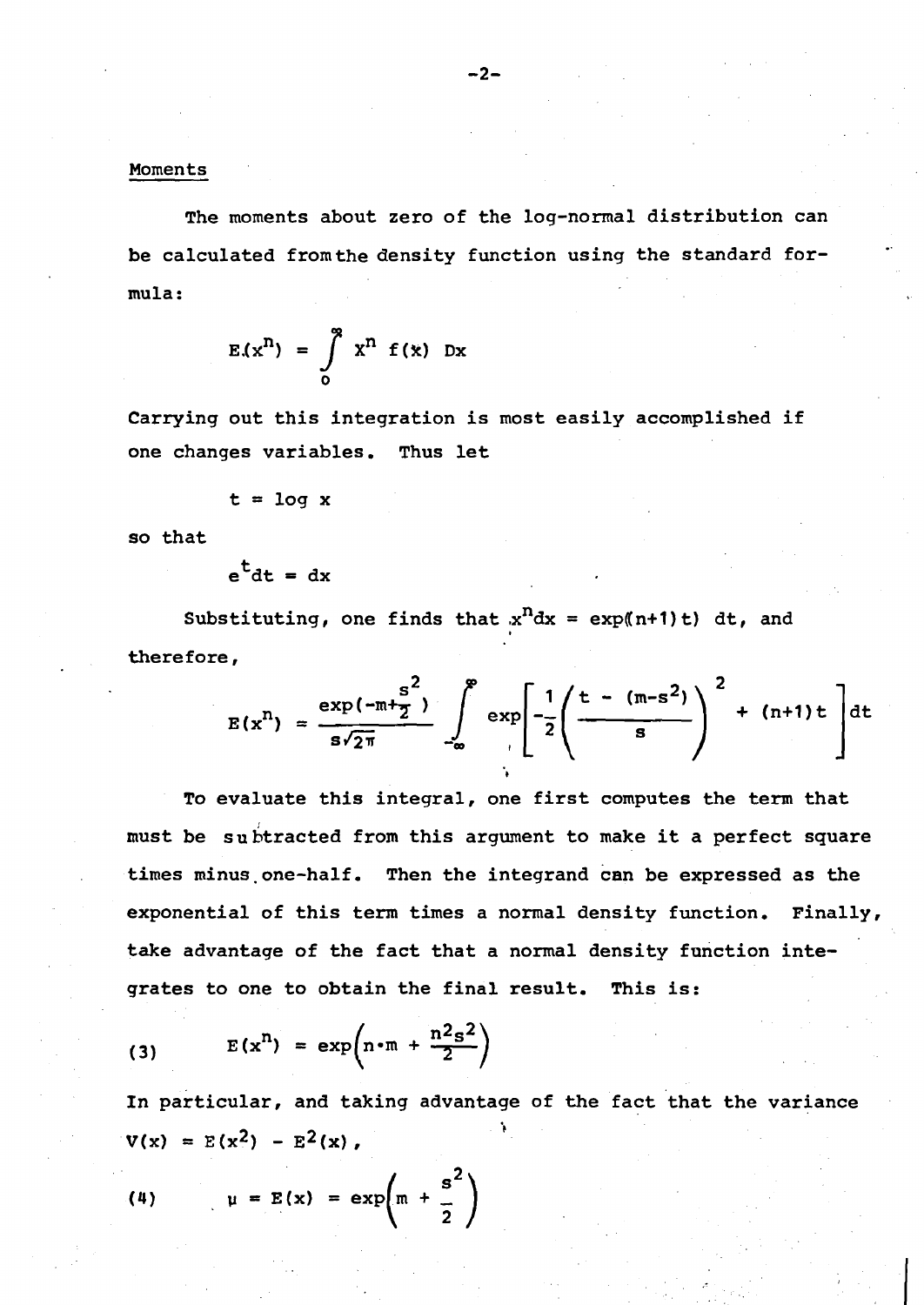The moments about zero of the log-normal distribution can be calculated fromthe density function using the standard formula :

$$
E(x^n) = \int_{0}^{\infty} x^n f(x) dx
$$

Carrying out this integration is most easily accomplished if one changes variables. Thus let

$$
t = \log x
$$

so that

$$
e^{\mathsf{L}}dt = dx
$$

Substituting, one finds that  $x^n dx = \exp((n+1)t)$  dt, and therefore,

$$
E(x^{n}) = \frac{\exp(-\pi + \frac{s^{2}}{2})}{s\sqrt{2\pi}} \int_{-\infty}^{\infty} \exp\left[-\frac{1}{2}\left(\frac{t - (\pi - s^{2})}{s}\right)^{2} + (n+1)t\right]dt
$$

To evaluate this integral, one first computes the term that must be subtracted from this argument to make it a perfect square times minus one-half. Then the integrand can be expressed as the exponential of this term times a normal density function. Finally, take advantage of the fact that a normal density function inte-

grates to one to obtain the final result. This is:  
(3) 
$$
E(x^n) = \exp(n \cdot m + \frac{n^2 s^2}{2})
$$

In particular, and taking advantage of the fact that the variance  $V(x) = E(x^2) - E^2(x)$ ,

(4) 
$$
\mu = E(x) = \exp\left(m + \frac{s^2}{2}\right)
$$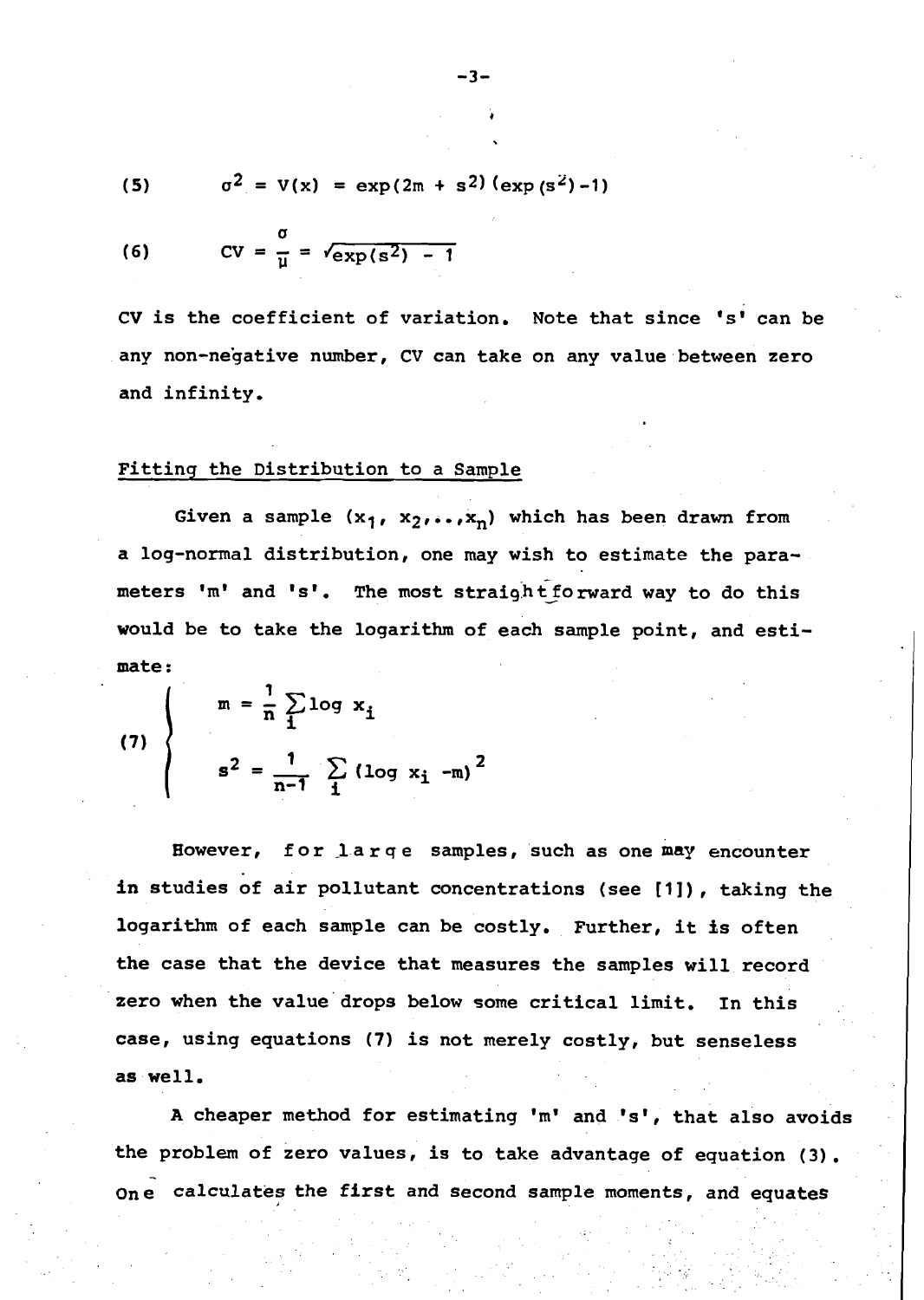(5) 
$$
\sigma^2 = V(x) = \exp(2m + s^2) (\exp(s^2) - 1)
$$

(6) 
$$
CV = \frac{\sigma}{\mu} = \sqrt{\exp(s^2) - 1}
$$

CV is the coefficient of variation. Note that since 's' can be any non-negative number, CV can take on any value between zero and infinity,

#### Fitting the Distribution to a Sample

Given a sample  $(x_1, x_2, ..., x_n)$  which has been drawn from a log-normal distribution, one may wish to estimate the parameters 'm' and 's'. The most straight forward way to do this would be to take the logarithm of each sample point, and estimate :

(7) 
$$
\begin{cases} m = \frac{1}{n} \sum_{i} \log x_i \\ s^2 = \frac{1}{n-1} \sum_{i} (\log x_i - m)^2 \end{cases}
$$

However, for large samples, such as one may encounter in studies of air pollutant concentrations (see [I]), taking the logarithm of each sample can be costly. Further, it is often the case that the device that measures the samples will. record zero when the value'drops below some critical limit. In this case, using equations (7) is not merely costly, but senseless as well.

A cheaper method for estimating 'm' and 's', that also avoids the problem of zero values, is to take advantage of equation (3). - One calculates the first and second sample moments, and equates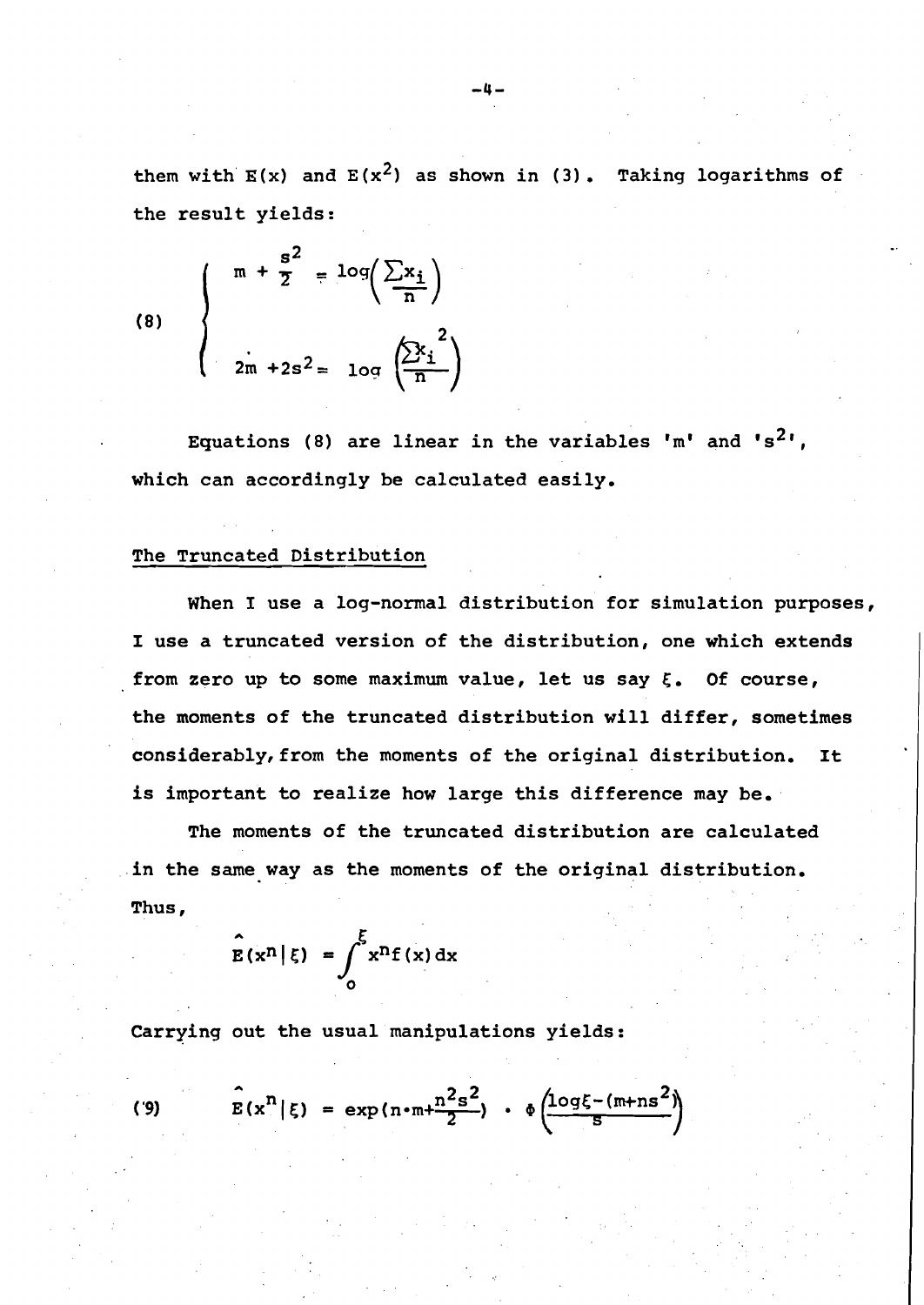them with  $E(x)$  and  $E(x^2)$  as shown in (3). Taking logarithms of the result yields:

(8) 
$$
\begin{cases} m + \frac{s^2}{2} = \log\left(\frac{\sum x_i}{n}\right) \\ \frac{1}{2m + 2s^2} = \log\left(\frac{\sum x_i}{n}\right) \end{cases}
$$

Equations (8) are linear in the variables 'm' and 's<sup>2</sup>'. which can accordingly be calculated easily.

## The Truncated Distribution

When I use a log-normal distribution for simulation purposes, I use a truncated version of the distribution, one which extends from zero up to some maximum value, let us say  $\xi$ . Of course, the moments of the truncated distribution will differ, sometimes considerably, from the moments of the original distribution. It is important to realize how large this difference may be.

The moments of the truncated distribution are calculated in the same way as the moments of the original distribution. Thus,

$$
\hat{\mathbf{E}}(\mathbf{x}^{\mathbf{n}}|\boldsymbol{\xi}) = \int_{0}^{\boldsymbol{\xi}} \mathbf{x}^{\mathbf{n}} \mathbf{f}(\mathbf{x}) \, \mathrm{d} \mathbf{x}
$$

Carrying out the usual manipulations yields:

$$
E(x^n | \xi) = \exp(n \cdot m + \frac{n^2 s^2}{2}) \cdot \phi\left(\frac{\log \xi - (m + ns^2)}{s}\right)
$$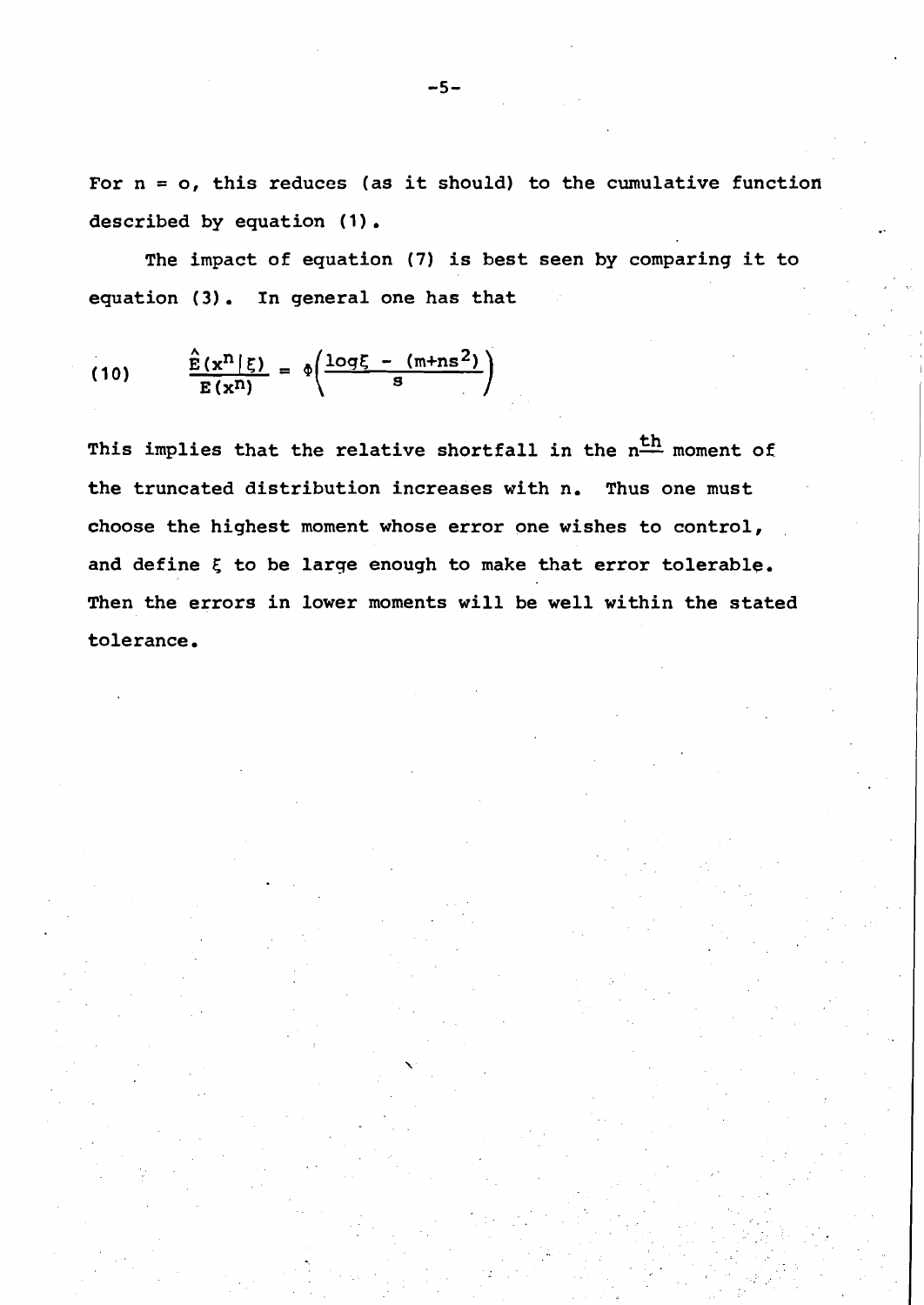For  $n = o$ , this reduces (as it should) to the cumulative function described by equation (1).<br>The impact of equation (7) is best seen by comparing it to

equation (3). In general one has that

$$
(10) \qquad \frac{\hat{E}(x^n | \xi)}{E(x^n)} = \phi\left(\frac{\log \xi - (m+n s^2)}{s}\right)
$$

This implies that the relative shortfall in the  $n<sup>th</sup>$  moment of the truncated distribution increases with n. Thus one must choose the highest moment whose error one wishes to control, and define **5** to be large enough to make that error tolerable. Then the errors in lower moments will be well within the stated tolerance.